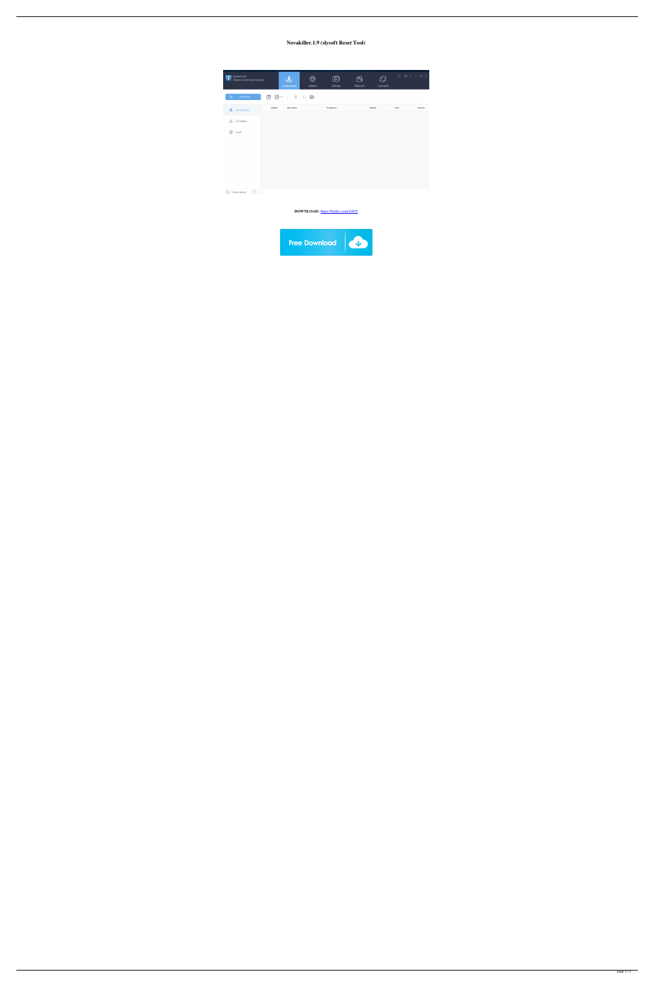## Novakiller.1.9 (slysoft Reset Tool)